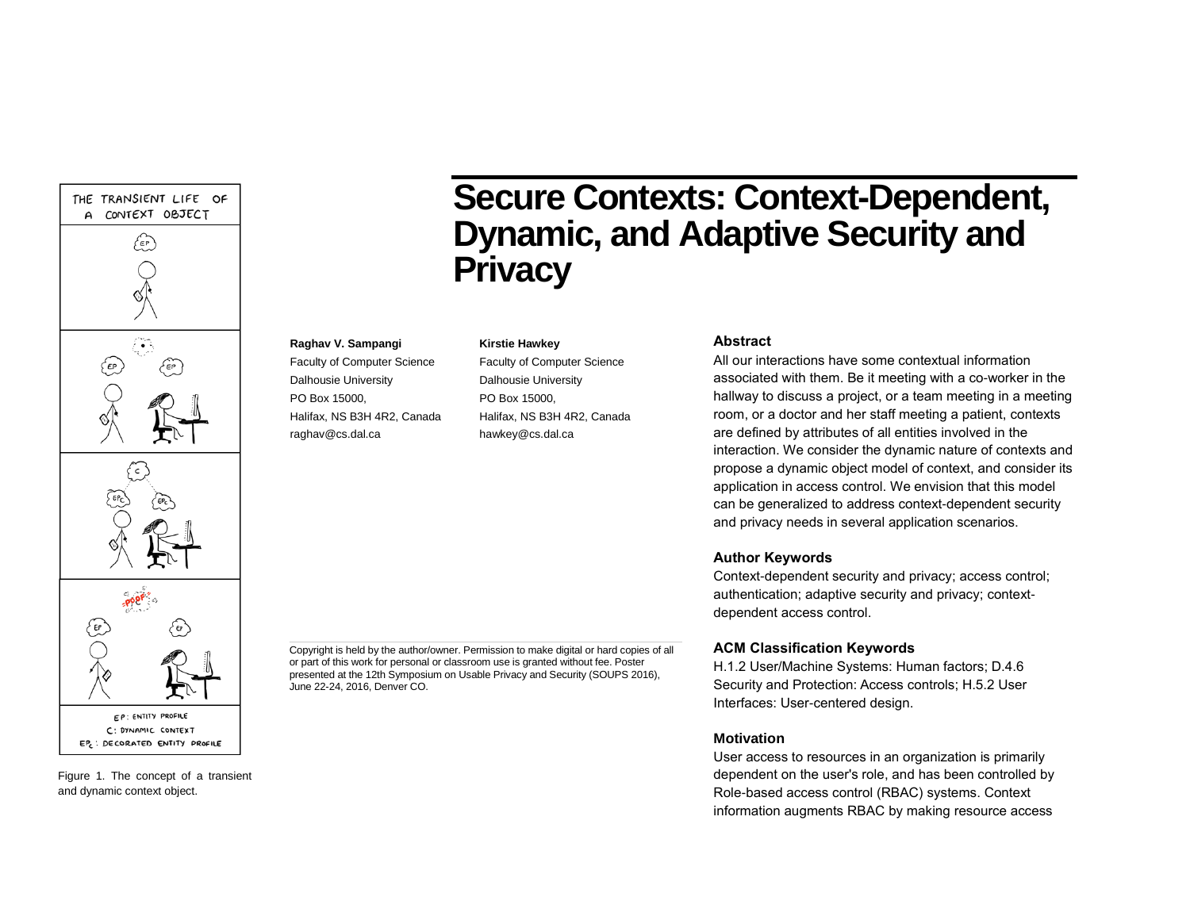



**Secure Contexts: Context-Dependent, Dynamic, and Adaptive Security and Privacy**

#### **Kirstie Hawkey**

**Raghav V. Sampangi** Faculty of Computer Science Dalhousie University PO Box 15000,

raghav@cs.dal.ca

Halifax, NS B3H 4R2, Canada

Faculty of Computer Science Dalhousie University PO Box 15000, Halifax, NS B3H 4R2, Canada hawkey@cs.dal.ca

## **Abstract**

All our interactions have some contextual information associated with them. Be it meeting with a co-worker in the hallway to discuss a project, or a team meeting in a meeting room, or a doctor and her staff meeting a patient, contexts are defined by attributes of all entities involved in the interaction. We consider the dynamic nature of contexts and propose a dynamic object model of context, and consider its application in access control. We envision that this model can be generalized to address context-dependent security and privacy needs in several application scenarios.

## **Author Keywords**

Context-dependent security and privacy; access control; authentication; adaptive security and privacy; contextdependent access control.

## **ACM Classification Keywords**

H.1.2 User/Machine Systems: Human factors; D.4.6 Security and Protection: Access controls; H.5.2 User Interfaces: User-centered design.

### **Motivation**

User access to resources in an organization is primarily dependent on the user's role, and has been controlled by Role-based access control (RBAC) systems. Context information augments RBAC by making resource access

Copyright is held by the author/owner. Permission to make digital or hard copies of all or part of this work for personal or classroom use is granted without fee. Poster presented at the 12th Symposium on Usable Privacy and Security (SOUPS 2016), June 22-24, 2016, Denver CO.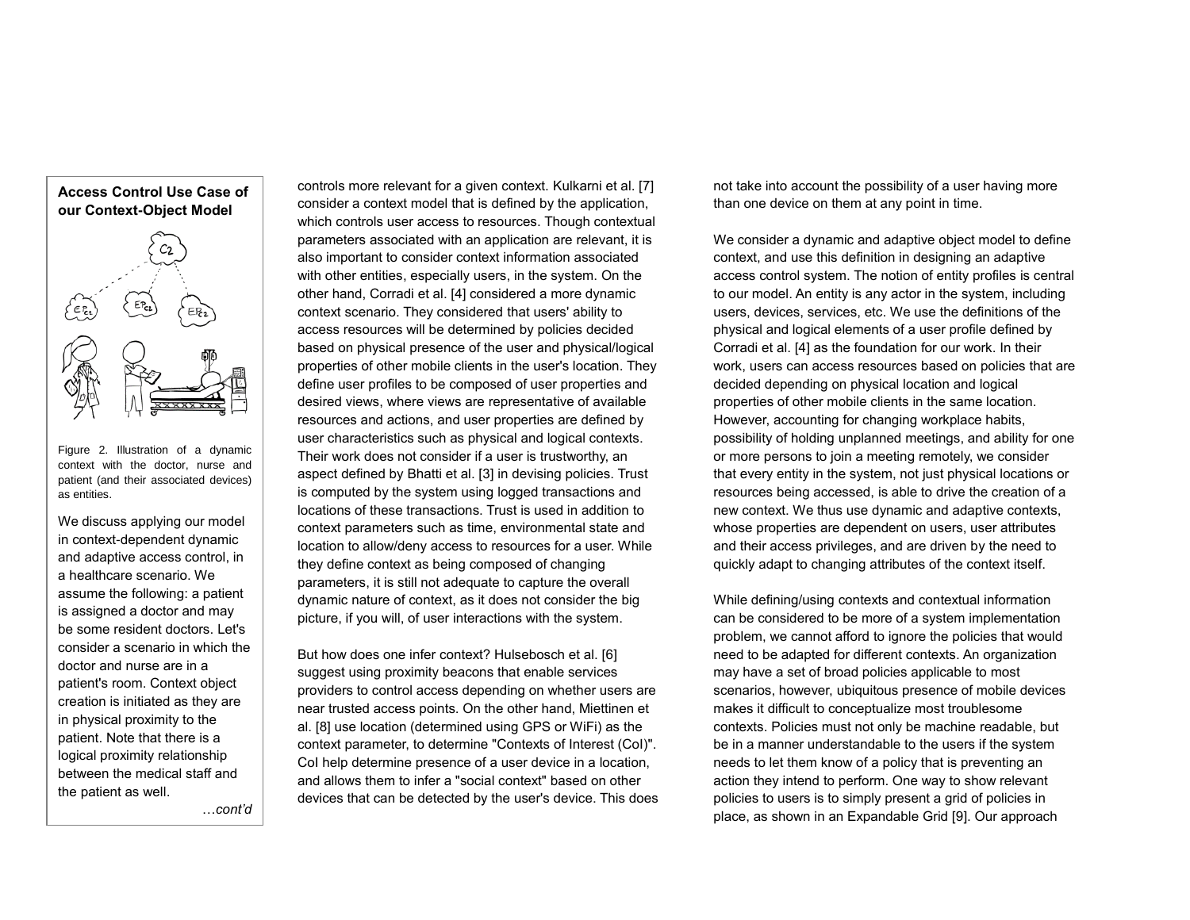

Figure 2. Illustration of a dynamic context with the doctor, nurse and patient (and their associated devices) as entities.

We discuss applying our model in context-dependent dynamic and adaptive access control, in a healthcare scenario. We assume the following: a patient is assigned a doctor and may be some resident doctors. Let's consider a scenario in which the doctor and nurse are in a patient's room. Context object creation is initiated as they are in physical proximity to the patient. Note that there is a logical proximity relationship between the medical staff and the patient as well.

…*cont'd*

controls more relevant for a given context. Kulkarni et al. [\[7\]](#page-4-0) consider a context model that is defined by the application, which controls user access to resources. Though contextual parameters associated with an application are relevant, it is also important to consider context information associated with other entities, especially users, in the system. On the other hand, Corradi et al. [\[4\]](#page-4-1) considered a more dynamic context scenario. They considered that users' ability to access resources will be determined by policies decided based on physical presence of the user and physical/logical properties of other mobile clients in the user's location. They define user profiles to be composed of user properties and desired views, where views are representative of available resources and actions, and user properties are defined by user characteristics such as physical and logical contexts. Their work does not consider if a user is trustworthy, an aspect defined by Bhatti et al. [\[3\]](#page-4-2) in devising policies. Trust is computed by the system using logged transactions and locations of these transactions. Trust is used in addition to context parameters such as time, environmental state and location to allow/deny access to resources for a user. While they define context as being composed of changing parameters, it is still not adequate to capture the overall dynamic nature of context, as it does not consider the big picture, if you will, of user interactions with the system.

But how does one infer context? Hulsebosch et al. [\[6\]](#page-4-3) suggest using proximity beacons that enable services providers to control access depending on whether users are near trusted access points. On the other hand, Miettinen et al. [\[8\]](#page-4-4) use location (determined using GPS or WiFi) as the context parameter, to determine "Contexts of Interest (CoI)". CoI help determine presence of a user device in a location, and allows them to infer a "social context" based on other devices that can be detected by the user's device. This does not take into account the possibility of a user having more than one device on them at any point in time.

We consider a dynamic and adaptive object model to define context, and use this definition in designing an adaptive access control system. The notion of entity profiles is central to our model. An entity is any actor in the system, including users, devices, services, etc. We use the definitions of the physical and logical elements of a user profile defined by Corradi et al. [\[4\]](#page-4-1) as the foundation for our work. In their work, users can access resources based on policies that are decided depending on physical location and logical properties of other mobile clients in the same location. However, accounting for changing workplace habits, possibility of holding unplanned meetings, and ability for one or more persons to join a meeting remotely, we consider that every entity in the system, not just physical locations or resources being accessed, is able to drive the creation of a new context. We thus use dynamic and adaptive contexts, whose properties are dependent on users, user attributes and their access privileges, and are driven by the need to quickly adapt to changing attributes of the context itself.

While defining/using contexts and contextual information can be considered to be more of a system implementation problem, we cannot afford to ignore the policies that would need to be adapted for different contexts. An organization may have a set of broad policies applicable to most scenarios, however, ubiquitous presence of mobile devices makes it difficult to conceptualize most troublesome contexts. Policies must not only be machine readable, but be in a manner understandable to the users if the system needs to let them know of a policy that is preventing an action they intend to perform. One way to show relevant policies to users is to simply present a grid of policies in place, as shown in an Expandable Grid [\[9\]](#page-4-5). Our approach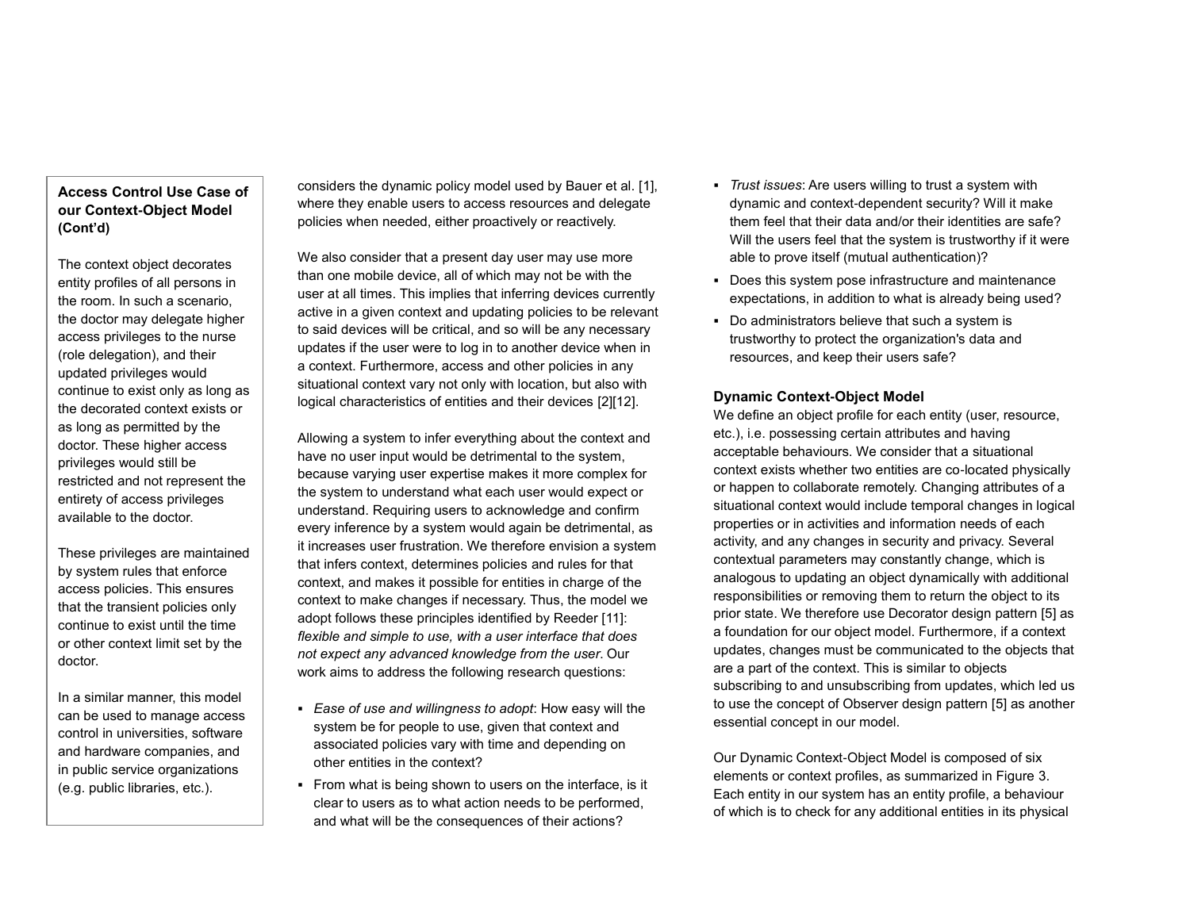# **Access Control Use Case of our Context-Object Model (Cont'd)**

The context object decorates entity profiles of all persons in the room. In such a scenario, the doctor may delegate higher access privileges to the nurse (role delegation), and their updated privileges would continue to exist only as long as the decorated context exists or as long as permitted by the doctor. These higher access privileges would still be restricted and not represent the entirety of access privileges available to the doctor.

These privileges are maintained by system rules that enforce access policies. This ensures that the transient policies only continue to exist until the time or other context limit set by the doctor.

In a similar manner, this model can be used to manage access control in universities, software and hardware companies, and in public service organizations (e.g. public libraries, etc.).

considers the dynamic policy model used by Bauer et al. [\[1\]](#page-4-6), where they enable users to access resources and delegate policies when needed, either proactively or reactively.

We also consider that a present day user may use more than one mobile device, all of which may not be with the user at all times. This implies that inferring devices currently active in a given context and updating policies to be relevant to said devices will be critical, and so will be any necessary updates if the user were to log in to another device when in a context. Furthermore, access and other policies in any situational context vary not only with location, but also with logical characteristics of entities and their devices [\[2\]](#page-4-7)[\[12\]](#page-4-8).

Allowing a system to infer everything about the context and have no user input would be detrimental to the system, because varying user expertise makes it more complex for the system to understand what each user would expect or understand. Requiring users to acknowledge and confirm every inference by a system would again be detrimental, as it increases user frustration. We therefore envision a system that infers context, determines policies and rules for that context, and makes it possible for entities in charge of the context to make changes if necessary. Thus, the model we adopt follows these principles identified by Reeder [\[11\]](#page-4-9): *flexible and simple to use, with a user interface that does not expect any advanced knowledge from the user*. Our work aims to address the following research questions:

- *Ease of use and willingness to adopt*: How easy will the system be for people to use, given that context and associated policies vary with time and depending on other entities in the context?
- From what is being shown to users on the interface, is it clear to users as to what action needs to be performed, and what will be the consequences of their actions?
- *Trust issues*: Are users willing to trust a system with dynamic and context-dependent security? Will it make them feel that their data and/or their identities are safe? Will the users feel that the system is trustworthy if it were able to prove itself (mutual authentication)?
- Does this system pose infrastructure and maintenance expectations, in addition to what is already being used?
- Do administrators believe that such a system is trustworthy to protect the organization's data and resources, and keep their users safe?

## **Dynamic Context-Object Model**

We define an object profile for each entity (user, resource, etc.), i.e. possessing certain attributes and having acceptable behaviours. We consider that a situational context exists whether two entities are co-located physically or happen to collaborate remotely. Changing attributes of a situational context would include temporal changes in logical properties or in activities and information needs of each activity, and any changes in security and privacy. Several contextual parameters may constantly change, which is analogous to updating an object dynamically with additional responsibilities or removing them to return the object to its prior state. We therefore use Decorator design pattern [\[5\]](#page-4-10) as a foundation for our object model. Furthermore, if a context updates, changes must be communicated to the objects that are a part of the context. This is similar to objects subscribing to and unsubscribing from updates, which led us to use the concept of Observer design pattern [\[5\]](#page-4-10) as another essential concept in our model.

Our Dynamic Context-Object Model is composed of six elements or context profiles, as summarized in Figure 3. Each entity in our system has an entity profile, a behaviour of which is to check for any additional entities in its physical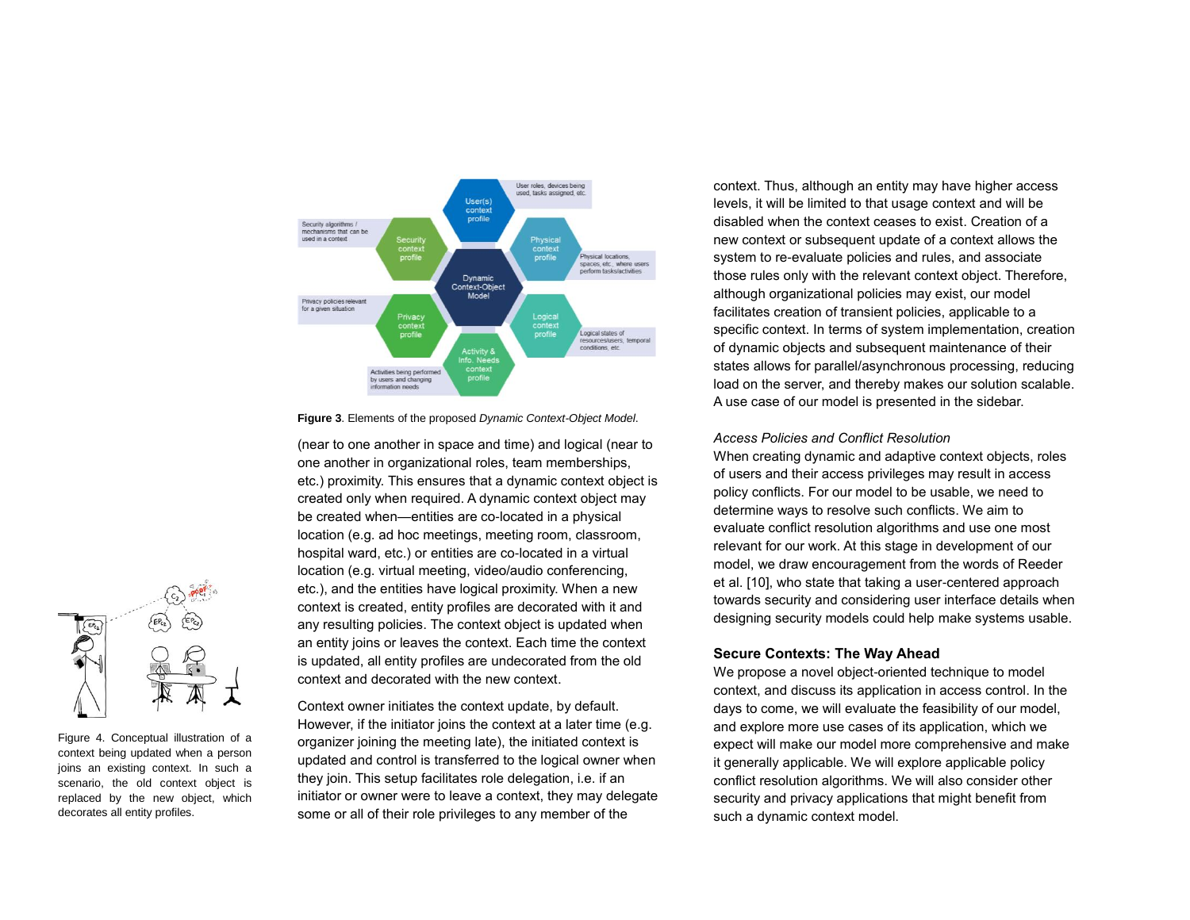

**Figure 3**. Elements of the proposed *Dynamic Context-Object Model*.

(near to one another in space and time) and logical (near to one another in organizational roles, team memberships, etc.) proximity. This ensures that a dynamic context object is created only when required. A dynamic context object may be created when—entities are co-located in a physical location (e.g. ad hoc meetings, meeting room, classroom, hospital ward, etc.) or entities are co-located in a virtual location (e.g. virtual meeting, video/audio conferencing, etc.), and the entities have logical proximity. When a new context is created, entity profiles are decorated with it and any resulting policies. The context object is updated when an entity joins or leaves the context. Each time the context is updated, all entity profiles are undecorated from the old context and decorated with the new context.

Context owner initiates the context update, by default. However, if the initiator joins the context at a later time (e.g. organizer joining the meeting late), the initiated context is updated and control is transferred to the logical owner when they join. This setup facilitates role delegation, i.e. if an initiator or owner were to leave a context, they may delegate some or all of their role privileges to any member of the

context. Thus, although an entity may have higher access levels, it will be limited to that usage context and will be disabled when the context ceases to exist. Creation of a new context or subsequent update of a context allows the system to re-evaluate policies and rules, and associate those rules only with the relevant context object. Therefore, although organizational policies may exist, our model facilitates creation of transient policies, applicable to a specific context. In terms of system implementation, creation of dynamic objects and subsequent maintenance of their states allows for parallel/asynchronous processing, reducing load on the server, and thereby makes our solution scalable. A use case of our model is presented in the sidebar.

### *Access Policies and Conflict Resolution*

When creating dynamic and adaptive context objects, roles of users and their access privileges may result in access policy conflicts. For our model to be usable, we need to determine ways to resolve such conflicts. We aim to evaluate conflict resolution algorithms and use one most relevant for our work. At this stage in development of our model, we draw encouragement from the words of Reeder et al. [\[10\],](#page-4-11) who state that taking a user-centered approach towards security and considering user interface details when designing security models could help make systems usable.

## **Secure Contexts: The Way Ahead**

We propose a novel object-oriented technique to model context, and discuss its application in access control. In the days to come, we will evaluate the feasibility of our model, and explore more use cases of its application, which we expect will make our model more comprehensive and make it generally applicable. We will explore applicable policy conflict resolution algorithms. We will also consider other security and privacy applications that might benefit from such a dynamic context model.



Figure 4. Conceptual illustration of a context being updated when a person joins an existing context. In such a scenario, the old context object is replaced by the new object, which decorates all entity profiles.